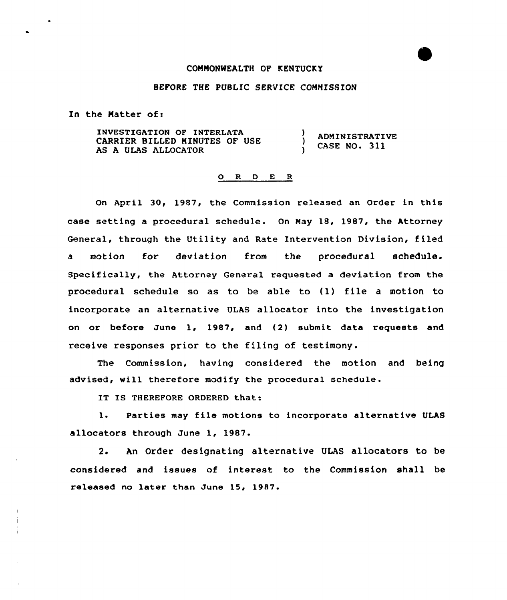## COHHONWEALTH OF KENTUCKY

## BEFORE THE PUBLIC SERVICE COMMISSION

In the Matter of:

INVESTIGATION OF INTERLATA -1 ADMINISTRATIVE CARRIER BILLED HINUTES OF USE Δ, CASE NO. 311 AS A ULAS ALLOCATOR

## 0 R <sup>D</sup> E <sup>R</sup>

On April 30, 1987, the Commission released an Order in this case setting a procedural schedule. On May 18, 1987, the Attorney General, through the Utility and Rate Intervention Division, filed a motion for deviation from the procedural schedule. Specifically, the Attorney General requested a deviation from the procedural schedule so as to be able to (1) file <sup>a</sup> motion to incorporate an alternative ULAS allocator into the investigation on or before June 1, 1987, and (2) submit data requests and receive responses prior to the filing of testimony.

The Commission, having considered the motion and being advised, will therefore modify the procedural schedule.

IT IS THEREFORE ORDERED that:

1. Parties may file motions to incorporate alternative ULAS allocators through June 1, 1987.

2. An Order designating alternative ULAS allocators to be considered and issues of interest to the Commission shall be released no later than June 15, 1987.